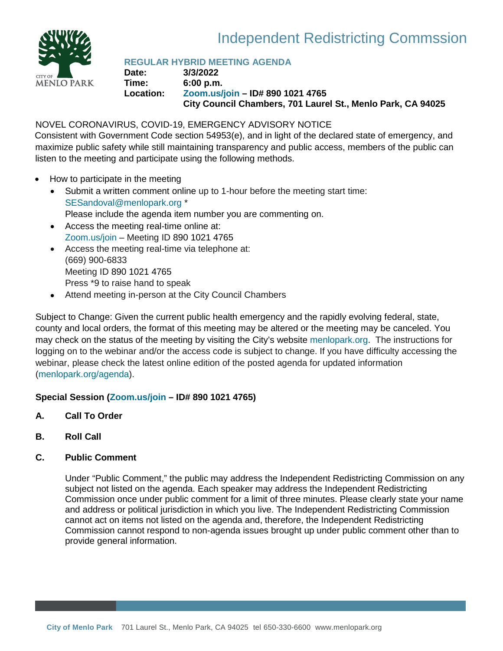

# Independent Redistricting Commssion

# **REGULAR HYBRID MEETING AGENDA**

**Date: 3/3/2022 Time: 6:00 p.m. Location: [Zoom.us/join](https://zoom.us/join) – ID# 890 1021 4765 City Council Chambers, 701 Laurel St., Menlo Park, CA 94025**

# NOVEL CORONAVIRUS, COVID-19, EMERGENCY ADVISORY NOTICE

Consistent with Government Code section 54953(e), and in light of the declared state of emergency, and maximize public safety while still maintaining transparency and public access, members of the public can listen to the meeting and participate using the following methods.

- How to participate in the meeting
	- Submit a written comment online up to 1-hour before the meeting start time: [SESandoval@menlopark.org](mailto:SESandoval@menlopark.org?subject=20220210%20IRC%20public%20comment) \* Please include the agenda item number you are commenting on.
	- Access the meeting real-time online at: [Zoom.us/join](https://zoom.us/join) – Meeting ID 890 1021 4765
	- Access the meeting real-time via telephone at: (669) 900-6833 Meeting ID 890 1021 4765 Press \*9 to raise hand to speak
	- Attend meeting in-person at the City Council Chambers

Subject to Change: Given the current public health emergency and the rapidly evolving federal, state, county and local orders, the format of this meeting may be altered or the meeting may be canceled. You may check on the status of the meeting by visiting the City's website [menlopark.org.](https://beta.menlopark.org/Home)The instructions for logging on to the webinar and/or the access code is subject to change. If you have difficulty accessing the webinar, please check the latest online edition of the posted agenda for updated information [\(menlopark.org/agenda\)](http://menlopark.org/agenda).

# **Special Session [\(Zoom.us/join](https://zoom.us/join) – ID# 890 1021 4765)**

- **A. Call To Order**
- **B. Roll Call**
- **C. Public Comment**

Under "Public Comment," the public may address the Independent Redistricting Commission on any subject not listed on the agenda. Each speaker may address the Independent Redistricting Commission once under public comment for a limit of three minutes. Please clearly state your name and address or political jurisdiction in which you live. The Independent Redistricting Commission cannot act on items not listed on the agenda and, therefore, the Independent Redistricting Commission cannot respond to non-agenda issues brought up under public comment other than to provide general information.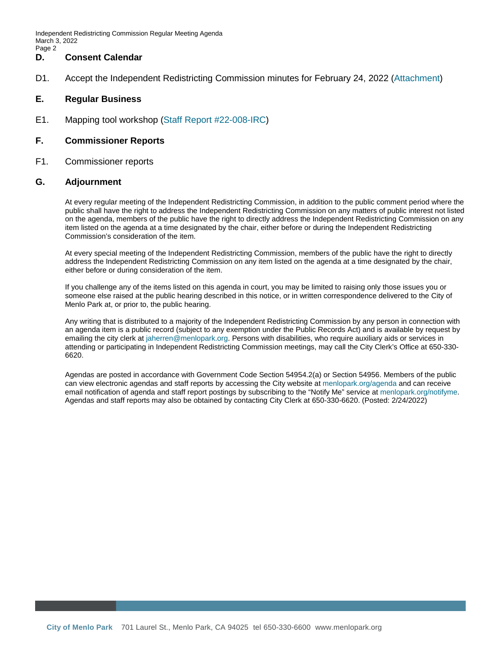Independent Redistricting Commission Regular Meeting Agenda March 3, 2022 Page 2

#### **D. Consent Calendar**

D1. Accept the Independent Redistricting Commission minutes for February 24, 2022 ([Attachment\)](#page-2-0)

#### **E. Regular Business**

E1. Mapping tool workshop (Staff Report [#22-008-IRC\)](#page-4-0)

#### **F. Commissioner Reports**

F1. Commissioner reports

#### **G. Adjournment**

At every regular meeting of the Independent Redistricting Commission, in addition to the public comment period where the public shall have the right to address the Independent Redistricting Commission on any matters of public interest not listed on the agenda, members of the public have the right to directly address the Independent Redistricting Commission on any item listed on the agenda at a time designated by the chair, either before or during the Independent Redistricting Commission's consideration of the item.

At every special meeting of the Independent Redistricting Commission, members of the public have the right to directly address the Independent Redistricting Commission on any item listed on the agenda at a time designated by the chair, either before or during consideration of the item.

If you challenge any of the items listed on this agenda in court, you may be limited to raising only those issues you or someone else raised at the public hearing described in this notice, or in written correspondence delivered to the City of Menlo Park at, or prior to, the public hearing.

Any writing that is distributed to a majority of the Independent Redistricting Commission by any person in connection with an agenda item is a public record (subject to any exemption under the Public Records Act) and is available by request by emailing the city clerk a[t jaherren@menlopark.org.](mailto:jaherren@menlopark.org) Persons with disabilities, who require auxiliary aids or services in attending or participating in Independent Redistricting Commission meetings, may call the City Clerk's Office at 650-330- 6620.

Agendas are posted in accordance with Government Code Section 54954.2(a) or Section 54956. Members of the public can view electronic agendas and staff reports by accessing the City website at [menlopark.org/agenda](http://menlopark.org/agenda) and can receive email notification of agenda and staff report postings by subscribing to the "Notify Me" service at [menlopark.org/notifyme.](http://www.menlopark.org/notifyme) Agendas and staff reports may also be obtained by contacting City Clerk at 650-330-6620. (Posted: 2/24/2022)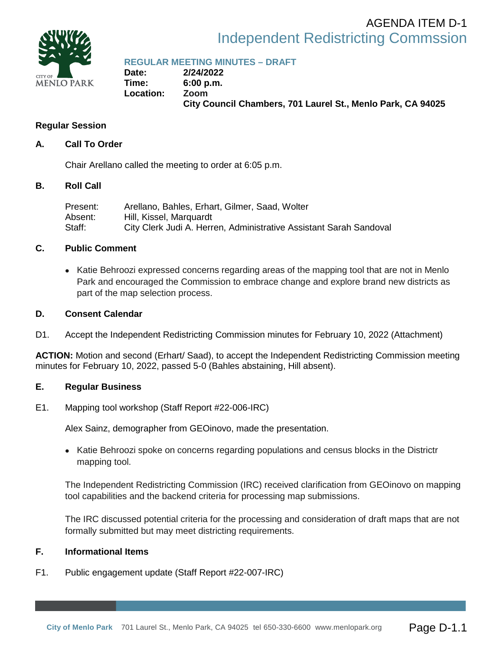<span id="page-2-0"></span>

# Independent Redistricting Commssion AGENDA ITEM D-1

**REGULAR MEETING MINUTES – DRAFT**

**Date: 2/24/2022 Time: 6:00 p.m. Location: Zoom City Council Chambers, 701 Laurel St., Menlo Park, CA 94025**

# **Regular Session**

# **A. Call To Order**

Chair Arellano called the meeting to order at 6:05 p.m.

# **B. Roll Call**

| Present:  | Arellano, Bahles, Erhart, Gilmer, Saad, Wolter                     |
|-----------|--------------------------------------------------------------------|
| Absent: . | Hill, Kissel, Marguardt                                            |
| Staff:    | City Clerk Judi A. Herren, Administrative Assistant Sarah Sandoval |

# **C. Public Comment**

• Katie Behroozi expressed concerns regarding areas of the mapping tool that are not in Menlo Park and encouraged the Commission to embrace change and explore brand new districts as part of the map selection process.

# **D. Consent Calendar**

D1. Accept the Independent Redistricting Commission minutes for February 10, 2022 (Attachment)

**ACTION:** Motion and second (Erhart/ Saad), to accept the Independent Redistricting Commission meeting minutes for February 10, 2022, passed 5-0 (Bahles abstaining, Hill absent).

# **E. Regular Business**

E1. Mapping tool workshop (Staff Report #22-006-IRC)

Alex Sainz, demographer from GEOinovo, made the presentation.

• Katie Behroozi spoke on concerns regarding populations and census blocks in the Districtr mapping tool.

The Independent Redistricting Commission (IRC) received clarification from GEOinovo on mapping tool capabilities and the backend criteria for processing map submissions.

The IRC discussed potential criteria for the processing and consideration of draft maps that are not formally submitted but may meet districting requirements.

# **F. Informational Items**

F1. Public engagement update (Staff Report #22-007-IRC)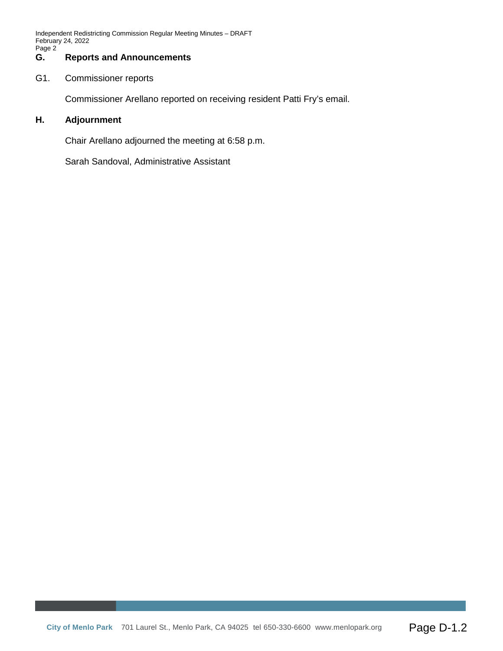Independent Redistricting Commission Regular Meeting Minutes – DRAFT February 24, 2022 Page 2

#### **G. Reports and Announcements**

G1. Commissioner reports

Commissioner Arellano reported on receiving resident Patti Fry's email.

#### **H. Adjournment**

Chair Arellano adjourned the meeting at 6:58 p.m.

Sarah Sandoval, Administrative Assistant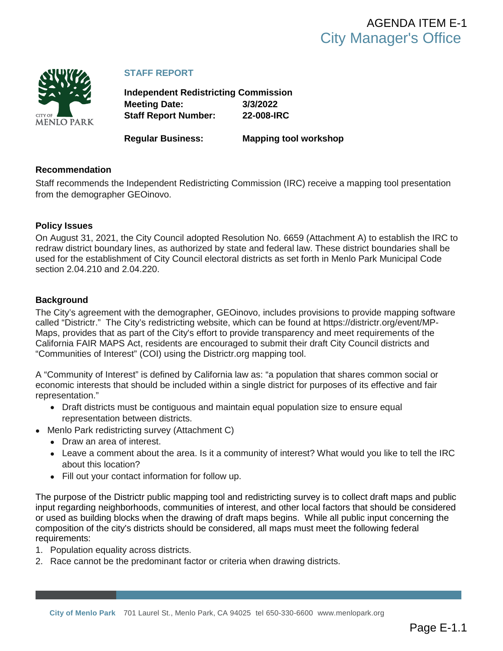<span id="page-4-0"></span>

# **STAFF REPORT**

**Independent Redistricting Commission Meeting Date: 3/3/2022 Staff Report Number: 22-008-IRC**

**Regular Business: Mapping tool workshop**

# **Recommendation**

Staff recommends the Independent Redistricting Commission (IRC) receive a mapping tool presentation from the demographer GEOinovo.

#### **Policy Issues**

On August 31, 2021, the City Council adopted Resolution No. 6659 ([Attachment A\)](#page-7-0) to establish the IRC to redraw district boundary lines, as authorized by state and federal law. These district boundaries shall be used for the establishment of City Council electoral districts as set forth in Menlo Park Municipal Code section 2.04.210 and 2.04.220.

#### **Background**

The City's agreement with the demographer, GEOinovo, includes provisions to provide mapping software called "Districtr." The City's redistricting website, which can be found at https://districtr.org/event/MP-Maps, provides that as part of the City's effort to provide transparency and meet requirements of the California FAIR MAPS Act, residents are encouraged to submit their draft City Council districts and "Communities of Interest" (COI) using the Districtr.org mapping tool.

A "Community of Interest" is defined by California law as: "a population that shares common social or economic interests that should be included within a single district for purposes of its effective and fair representation."

- Draft districts must be contiguous and maintain equal population size to ensure equal representation between districts.
- Menlo Park redistricting survey (Attachment C)
	- Draw an area of interest.
	- Leave a comment about the area. Is it a community of interest? What would you like to tell the IRC about this location?
	- Fill out your contact information for follow up.

The purpose of the Districtr public mapping tool and redistricting survey is to collect draft maps and public input regarding neighborhoods, communities of interest, and other local factors that should be considered or used as building blocks when the drawing of draft maps begins. While all public input concerning the composition of the city's districts should be considered, all maps must meet the following federal requirements:

- 1. Population equality across districts.
- 2. Race cannot be the predominant factor or criteria when drawing districts.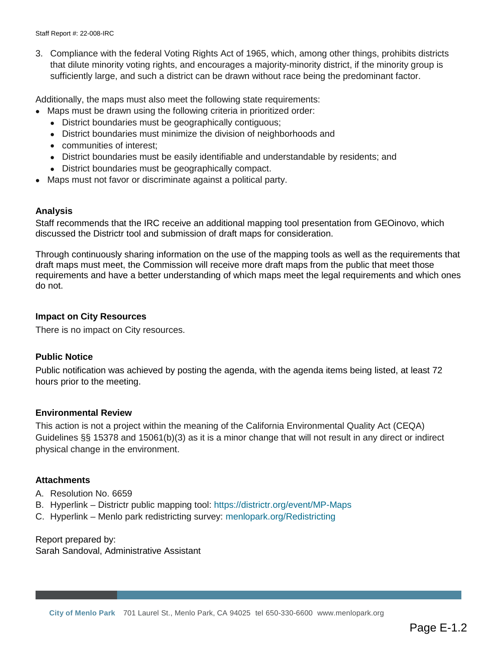Staff Report #: 22-008-IRC

3. Compliance with the federal Voting Rights Act of 1965, which, among other things, prohibits districts that dilute minority voting rights, and encourages a majority-minority district, if the minority group is sufficiently large, and such a district can be drawn without race being the predominant factor.

Additionally, the maps must also meet the following state requirements:

- Maps must be drawn using the following criteria in prioritized order:
	- District boundaries must be geographically contiguous;
	- District boundaries must minimize the division of neighborhoods and
	- communities of interest;
	- District boundaries must be easily identifiable and understandable by residents; and
	- District boundaries must be geographically compact.
- Maps must not favor or discriminate against a political party.

#### **Analysis**

Staff recommends that the IRC receive an additional mapping tool presentation from GEOinovo, which discussed the Districtr tool and submission of draft maps for consideration.

Through continuously sharing information on the use of the mapping tools as well as the requirements that draft maps must meet, the Commission will receive more draft maps from the public that meet those requirements and have a better understanding of which maps meet the legal requirements and which ones do not.

#### **Impact on City Resources**

There is no impact on City resources.

#### **Public Notice**

Public notification was achieved by posting the agenda, with the agenda items being listed, at least 72 hours prior to the meeting.

#### **Environmental Review**

This action is not a project within the meaning of the California Environmental Quality Act (CEQA) Guidelines §§ 15378 and 15061(b)(3) as it is a minor change that will not result in any direct or indirect physical change in the environment.

#### **Attachments**

- A. [Resolution No. 6659](#page-7-0)
- B. Hyperlink Districtr public mapping tool:<https://districtr.org/event/MP-Maps>
- C. Hyperlink Menlo park redistricting survey: [menlopark.org/Redistricting](https://beta.menlopark.org/Government/Departments/City-Managers-Office/City-Clerk/Redistricting/Redistricting-process-and-FAQs)

#### Report prepared by: Sarah Sandoval, Administrative Assistant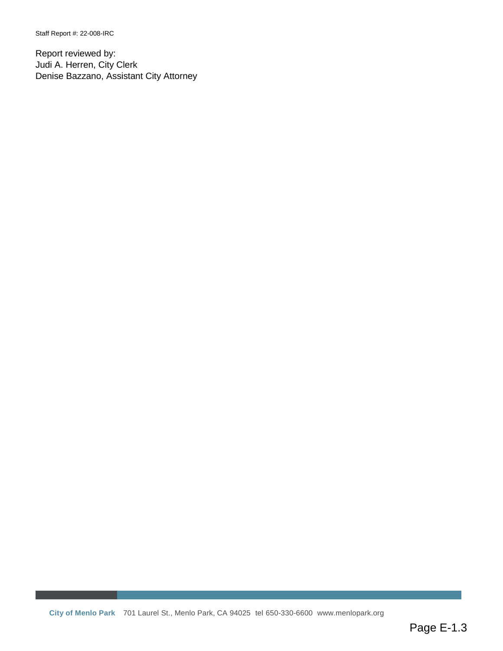Staff Report #: 22-008-IRC

Report reviewed by: Judi A. Herren, City Clerk Denise Bazzano, Assistant City Attorney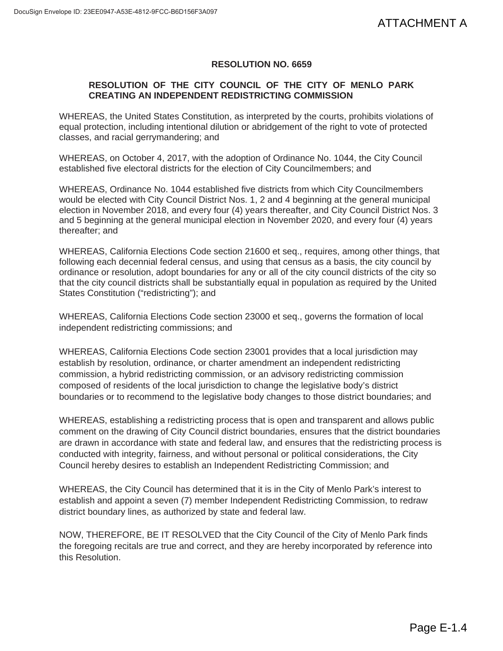# **RESOLUTION NO. 6659**

# **RESOLUTION OF THE CITY COUNCIL OF THE CITY OF MENLO PARK CREATING AN INDEPENDENT REDISTRICTING COMMISSION**

WHEREAS, the United States Constitution, as interpreted by the courts, prohibits violations of equal protection, including intentional dilution or abridgement of the right to vote of protected classes, and racial gerrymandering; and

WHEREAS, on October 4, 2017, with the adoption of Ordinance No. 1044, the City Council established five electoral districts for the election of City Councilmembers; and

WHEREAS, Ordinance No. 1044 established five districts from which City Councilmembers would be elected with City Council District Nos. 1, 2 and 4 beginning at the general municipal election in November 2018, and every four (4) years thereafter, and City Council District Nos. 3 and 5 beginning at the general municipal election in November 2020, and every four (4) years thereafter; and

WHEREAS, California Elections Code section 21600 et seq., requires, among other things, that following each decennial federal census, and using that census as a basis, the city council by ordinance or resolution, adopt boundaries for any or all of the city council districts of the city so that the city council districts shall be substantially equal in population as required by the United States Constitution ("redistricting"); and

WHEREAS, California Elections Code section 23000 et seq., governs the formation of local independent redistricting commissions; and

WHEREAS, California Elections Code section 23001 provides that a local jurisdiction may establish by resolution, ordinance, or charter amendment an independent redistricting commission, a hybrid redistricting commission, or an advisory redistricting commission composed of residents of the local jurisdiction to change the legislative body's district boundaries or to recommend to the legislative body changes to those district boundaries; and

<span id="page-7-0"></span>WHEREAS, establishing a redistricting process that is open and transparent and allows public comment on the drawing of City Council district boundaries, ensures that the district boundaries are drawn in accordance with state and federal law, and ensures that the redistricting process is conducted with integrity, fairness, and without personal or political considerations, the City Council hereby desires to establish an Independent Redistricting Commission; and ATTACHMENT A<br>
o PARK<br>
s violations of<br>
city Council<br>
cilmembers<br>
ral municipal<br>
District Nos. 3<br>
four (4) years<br>
ther things, that<br>
tity council by<br>
s of the city so<br>
y by the United<br>
tion of local<br>
iction may<br>
ricting<br>
is

WHEREAS, the City Council has determined that it is in the City of Menlo Park's interest to establish and appoint a seven (7) member Independent Redistricting Commission, to redraw district boundary lines, as authorized by state and federal law.

NOW, THEREFORE, BE IT RESOLVED that the City Council of the City of Menlo Park finds the foregoing recitals are true and correct, and they are hereby incorporated by reference into this Resolution.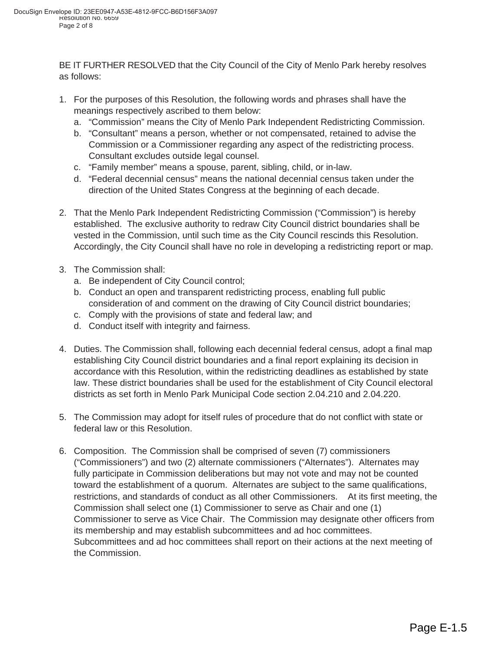BE IT FURTHER RESOLVED that the City Council of the City of Menlo Park hereby resolves as follows:

- 1. For the purposes of this Resolution, the following words and phrases shall have the meanings respectively ascribed to them below:
	- a. "Commission" means the City of Menlo Park Independent Redistricting Commission.
	- b. "Consultant" means a person, whether or not compensated, retained to advise the Commission or a Commissioner regarding any aspect of the redistricting process. Consultant excludes outside legal counsel.
	- c. "Family member" means a spouse, parent, sibling, child, or in-law.
	- d. "Federal decennial census" means the national decennial census taken under the direction of the United States Congress at the beginning of each decade.
- 2. That the Menlo Park Independent Redistricting Commission ("Commission") is hereby established. The exclusive authority to redraw City Council district boundaries shall be vested in the Commission, until such time as the City Council rescinds this Resolution. Accordingly, the City Council shall have no role in developing a redistricting report or map.
- 3. The Commission shall:
	- a. Be independent of City Council control;
	- b. Conduct an open and transparent redistricting process, enabling full public consideration of and comment on the drawing of City Council district boundaries;
	- c. Comply with the provisions of state and federal law; and
	- d. Conduct itself with integrity and fairness.
- 4. Duties. The Commission shall, following each decennial federal census, adopt a final map establishing City Council district boundaries and a final report explaining its decision in accordance with this Resolution, within the redistricting deadlines as established by state law. These district boundaries shall be used for the establishment of City Council electoral districts as set forth in Menlo Park Municipal Code section 2.04.210 and 2.04.220.
- 5. The Commission may adopt for itself rules of procedure that do not conflict with state or federal law or this Resolution.
- 6. Composition. The Commission shall be comprised of seven (7) commissioners ("Commissioners") and two (2) alternate commissioners ("Alternates"). Alternates may fully participate in Commission deliberations but may not vote and may not be counted toward the establishment of a quorum. Alternates are subject to the same qualifications, restrictions, and standards of conduct as all other Commissioners. At its first meeting, the Commission shall select one (1) Commissioner to serve as Chair and one (1) Commissioner to serve as Vice Chair. The Commission may designate other officers from its membership and may establish subcommittees and ad hoc committees. Subcommittees and ad hoc committees shall report on their actions at the next meeting of the Commission.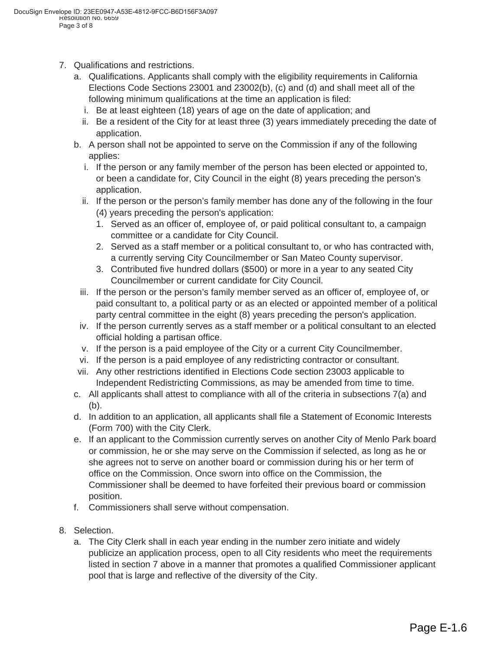- 7. Qualifications and restrictions.
	- a. Qualifications. Applicants shall comply with the eligibility requirements in California Elections Code Sections 23001 and 23002(b), (c) and (d) and shall meet all of the following minimum qualifications at the time an application is filed:
		- i. Be at least eighteen (18) years of age on the date of application; and
		- ii. Be a resident of the City for at least three (3) years immediately preceding the date of application.
	- b. A person shall not be appointed to serve on the Commission if any of the following applies:
		- i. If the person or any family member of the person has been elected or appointed to, or been a candidate for, City Council in the eight (8) years preceding the person's application.
		- ii. If the person or the person's family member has done any of the following in the four (4) years preceding the person's application:
			- 1. Served as an officer of, employee of, or paid political consultant to, a campaign committee or a candidate for City Council.
			- 2. Served as a staff member or a political consultant to, or who has contracted with, a currently serving City Councilmember or San Mateo County supervisor.
			- 3. Contributed five hundred dollars (\$500) or more in a year to any seated City Councilmember or current candidate for City Council.
		- iii. If the person or the person's family member served as an officer of, employee of, or paid consultant to, a political party or as an elected or appointed member of a political party central committee in the eight (8) years preceding the person's application.
	- iv. If the person currently serves as a staff member or a political consultant to an elected official holding a partisan office.
	- v. If the person is a paid employee of the City or a current City Councilmember.
	- vi. If the person is a paid employee of any redistricting contractor or consultant.
	- vii. Any other restrictions identified in Elections Code section 23003 applicable to Independent Redistricting Commissions, as may be amended from time to time.
	- c. All applicants shall attest to compliance with all of the criteria in subsections 7(a) and (b).
	- d. In addition to an application, all applicants shall file a Statement of Economic Interests (Form 700) with the City Clerk.
	- e. If an applicant to the Commission currently serves on another City of Menlo Park board or commission, he or she may serve on the Commission if selected, as long as he or she agrees not to serve on another board or commission during his or her term of office on the Commission. Once sworn into office on the Commission, the Commissioner shall be deemed to have forfeited their previous board or commission position.
	- f. Commissioners shall serve without compensation.
- 8. Selection.
	- a. The City Clerk shall in each year ending in the number zero initiate and widely publicize an application process, open to all City residents who meet the requirements listed in section 7 above in a manner that promotes a qualified Commissioner applicant pool that is large and reflective of the diversity of the City.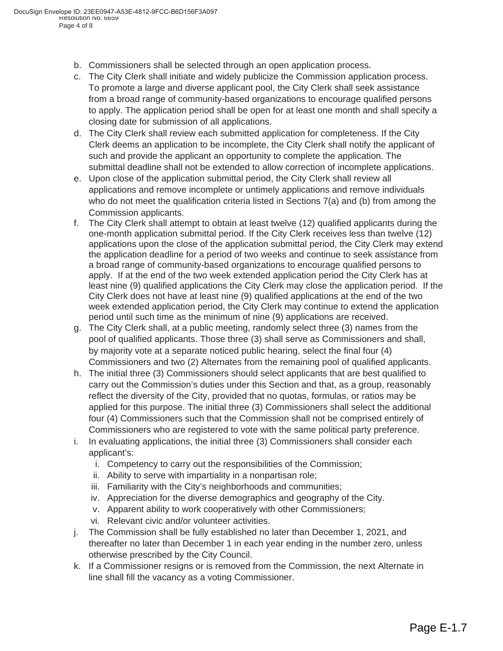- b. Commissioners shall be selected through an open application process.
- c. The City Clerk shall initiate and widely publicize the Commission application process. To promote a large and diverse applicant pool, the City Clerk shall seek assistance from a broad range of community-based organizations to encourage qualified persons to apply. The application period shall be open for at least one month and shall specify a closing date for submission of all applications.
- d. The City Clerk shall review each submitted application for completeness. If the City Clerk deems an application to be incomplete, the City Clerk shall notify the applicant of such and provide the applicant an opportunity to complete the application. The submittal deadline shall not be extended to allow correction of incomplete applications.
- e. Upon close of the application submittal period, the City Clerk shall review all applications and remove incomplete or untimely applications and remove individuals who do not meet the qualification criteria listed in Sections  $7(a)$  and (b) from among the Commission applicants.
- f. The City Clerk shall attempt to obtain at least twelve (12) qualified applicants during the one-month application submittal period. If the City Clerk receives less than twelve (12) applications upon the close of the application submittal period, the City Clerk may extend the application deadline for a period of two weeks and continue to seek assistance from a broad range of community-based organizations to encourage qualified persons to apply. If at the end of the two week extended application period the City Clerk has at least nine (9) qualified applications the City Clerk may close the application period. If the City Clerk does not have at least nine (9) qualified applications at the end of the two week extended application period, the City Clerk may continue to extend the application period until such time as the minimum of nine (9) applications are received.
- g. The City Clerk shall, at a public meeting, randomly select three (3) names from the pool of qualified applicants. Those three (3) shall serve as Commissioners and shall, by majority vote at a separate noticed public hearing, select the final four (4) Commissioners and two (2) Alternates from the remaining pool of qualified applicants.
- h. The initial three (3) Commissioners should select applicants that are best qualified to carry out the Commission's duties under this Section and that, as a group, reasonably reflect the diversity of the City, provided that no quotas, formulas, or ratios may be applied for this purpose. The initial three (3) Commissioners shall select the additional four (4) Commissioners such that the Commission shall not be comprised entirely of Commissioners who are registered to vote with the same political party preference.
- i. In evaluating applications, the initial three (3) Commissioners shall consider each applicant's:
	- i. Competency to carry out the responsibilities of the Commission;
	- ii. Ability to serve with impartiality in a nonpartisan role;
	- iii. Familiarity with the City's neighborhoods and communities;
	- iv. Appreciation for the diverse demographics and geography of the City.
	- v. Apparent ability to work cooperatively with other Commissioners;
	- vi. Relevant civic and/or volunteer activities.
- j. The Commission shall be fully established no later than December 1, 2021, and thereafter no later than December 1 in each year ending in the number zero, unless otherwise prescribed by the City Council.
- k. If a Commissioner resigns or is removed from the Commission, the next Alternate in line shall fill the vacancy as a voting Commissioner.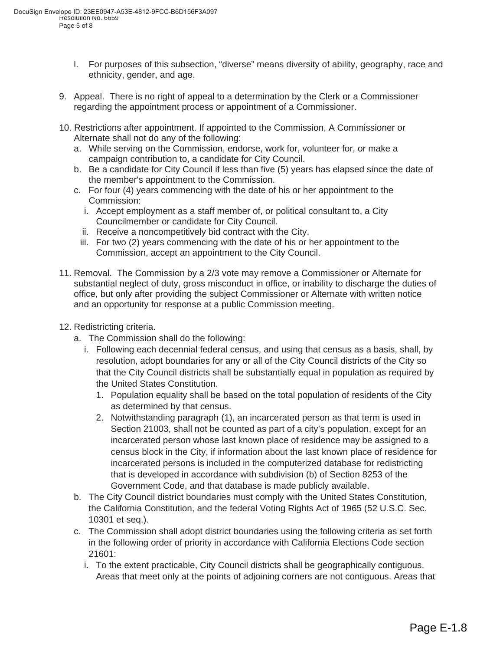- l. For purposes of this subsection, "diverse" means diversity of ability, geography, race and ethnicity, gender, and age.
- 9. Appeal. There is no right of appeal to a determination by the Clerk or a Commissioner regarding the appointment process or appointment of a Commissioner.
- 10. Restrictions after appointment. If appointed to the Commission, A Commissioner or Alternate shall not do any of the following:
	- a. While serving on the Commission, endorse, work for, volunteer for, or make a campaign contribution to, a candidate for City Council.
	- b. Be a candidate for City Council if less than five (5) years has elapsed since the date of the member's appointment to the Commission.
	- c. For four (4) years commencing with the date of his or her appointment to the Commission:
		- i. Accept employment as a staff member of, or political consultant to, a City Councilmember or candidate for City Council.
		- ii. Receive a noncompetitively bid contract with the City.
		- iii. For two (2) years commencing with the date of his or her appointment to the Commission, accept an appointment to the City Council.
- 11. Removal. The Commission by a 2/3 vote may remove a Commissioner or Alternate for substantial neglect of duty, gross misconduct in office, or inability to discharge the duties of office, but only after providing the subject Commissioner or Alternate with written notice and an opportunity for response at a public Commission meeting.
- 12. Redistricting criteria.
	- a. The Commission shall do the following:
		- i. Following each decennial federal census, and using that census as a basis, shall, by resolution, adopt boundaries for any or all of the City Council districts of the City so that the City Council districts shall be substantially equal in population as required by the United States Constitution.
			- 1. Population equality shall be based on the total population of residents of the City as determined by that census.
			- 2. Notwithstanding paragraph (1), an incarcerated person as that term is used in Section 21003, shall not be counted as part of a city's population, except for an incarcerated person whose last known place of residence may be assigned to a census block in the City, if information about the last known place of residence for incarcerated persons is included in the computerized database for redistricting that is developed in accordance with subdivision (b) of Section 8253 of the Government Code, and that database is made publicly available.
	- b. The City Council district boundaries must comply with the United States Constitution, the California Constitution, and the federal Voting Rights Act of 1965 (52 U.S.C. Sec. 10301 et seq.).
	- c. The Commission shall adopt district boundaries using the following criteria as set forth in the following order of priority in accordance with California Elections Code section 21601:
		- i. To the extent practicable, City Council districts shall be geographically contiguous. Areas that meet only at the points of adjoining corners are not contiguous. Areas that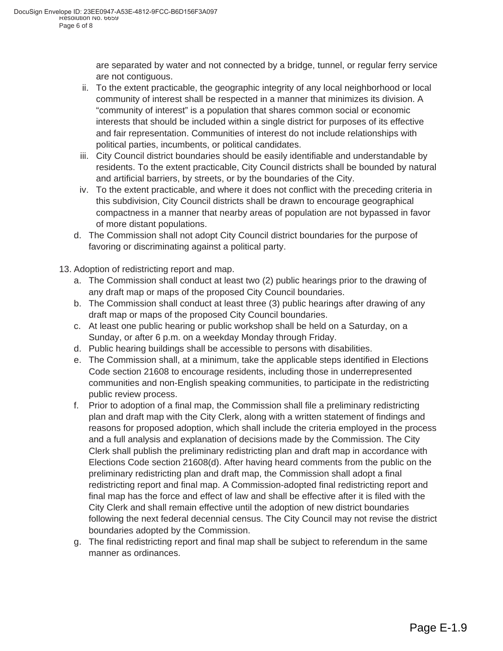are separated by water and not connected by a bridge, tunnel, or regular ferry service are not contiguous.

- ii. To the extent practicable, the geographic integrity of any local neighborhood or local community of interest shall be respected in a manner that minimizes its division. A "community of interest" is a population that shares common social or economic interests that should be included within a single district for purposes of its effective and fair representation. Communities of interest do not include relationships with political parties, incumbents, or political candidates.
- iii. City Council district boundaries should be easily identifiable and understandable by residents. To the extent practicable, City Council districts shall be bounded by natural and artificial barriers, by streets, or by the boundaries of the City.
- iv. To the extent practicable, and where it does not conflict with the preceding criteria in this subdivision, City Council districts shall be drawn to encourage geographical compactness in a manner that nearby areas of population are not bypassed in favor of more distant populations.
- d. The Commission shall not adopt City Council district boundaries for the purpose of favoring or discriminating against a political party.
- 13. Adoption of redistricting report and map.
	- a. The Commission shall conduct at least two (2) public hearings prior to the drawing of any draft map or maps of the proposed City Council boundaries.
	- b. The Commission shall conduct at least three (3) public hearings after drawing of any draft map or maps of the proposed City Council boundaries.
	- c. At least one public hearing or public workshop shall be held on a Saturday, on a Sunday, or after 6 p.m. on a weekday Monday through Friday.
	- d. Public hearing buildings shall be accessible to persons with disabilities.
	- e. The Commission shall, at a minimum, take the applicable steps identified in Elections Code section 21608 to encourage residents, including those in underrepresented communities and non-English speaking communities, to participate in the redistricting public review process.
	- f. Prior to adoption of a final map, the Commission shall file a preliminary redistricting plan and draft map with the City Clerk, along with a written statement of findings and reasons for proposed adoption, which shall include the criteria employed in the process and a full analysis and explanation of decisions made by the Commission. The City Clerk shall publish the preliminary redistricting plan and draft map in accordance with Elections Code section 21608(d). After having heard comments from the public on the preliminary redistricting plan and draft map, the Commission shall adopt a final redistricting report and final map. A Commission-adopted final redistricting report and final map has the force and effect of law and shall be effective after it is filed with the City Clerk and shall remain effective until the adoption of new district boundaries following the next federal decennial census. The City Council may not revise the district boundaries adopted by the Commission.
	- g. The final redistricting report and final map shall be subject to referendum in the same manner as ordinances.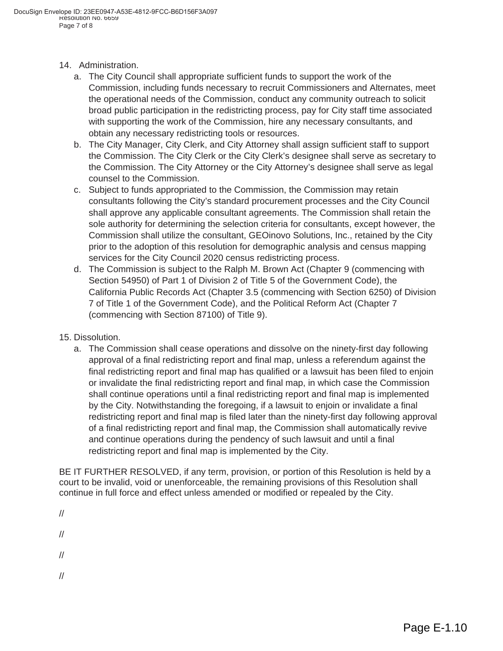- 14. Administration.
	- a. The City Council shall appropriate sufficient funds to support the work of the Commission, including funds necessary to recruit Commissioners and Alternates, meet the operational needs of the Commission, conduct any community outreach to solicit broad public participation in the redistricting process, pay for City staff time associated with supporting the work of the Commission, hire any necessary consultants, and obtain any necessary redistricting tools or resources.
	- b. The City Manager, City Clerk, and City Attorney shall assign sufficient staff to support the Commission. The City Clerk or the City Clerk's designee shall serve as secretary to the Commission. The City Attorney or the City Attorney's designee shall serve as legal counsel to the Commission.
	- c. Subject to funds appropriated to the Commission, the Commission may retain consultants following the City's standard procurement processes and the City Council shall approve any applicable consultant agreements. The Commission shall retain the sole authority for determining the selection criteria for consultants, except however, the Commission shall utilize the consultant, GEOinovo Solutions, Inc., retained by the City prior to the adoption of this resolution for demographic analysis and census mapping services for the City Council 2020 census redistricting process.
	- d. The Commission is subject to the Ralph M. Brown Act (Chapter 9 (commencing with Section 54950) of Part 1 of Division 2 of Title 5 of the Government Code), the California Public Records Act (Chapter 3.5 (commencing with Section 6250) of Division 7 of Title 1 of the Government Code), and the Political Reform Act (Chapter 7 (commencing with Section 87100) of Title 9).
- 15. Dissolution.
	- a. The Commission shall cease operations and dissolve on the ninety-first day following approval of a final redistricting report and final map, unless a referendum against the final redistricting report and final map has qualified or a lawsuit has been filed to enjoin or invalidate the final redistricting report and final map, in which case the Commission shall continue operations until a final redistricting report and final map is implemented by the City. Notwithstanding the foregoing, if a lawsuit to enjoin or invalidate a final redistricting report and final map is filed later than the ninety-first day following approval of a final redistricting report and final map, the Commission shall automatically revive and continue operations during the pendency of such lawsuit and until a final redistricting report and final map is implemented by the City.

BE IT FURTHER RESOLVED, if any term, provision, or portion of this Resolution is held by a court to be invalid, void or unenforceable, the remaining provisions of this Resolution shall continue in full force and effect unless amended or modified or repealed by the City.

//

//

//

//